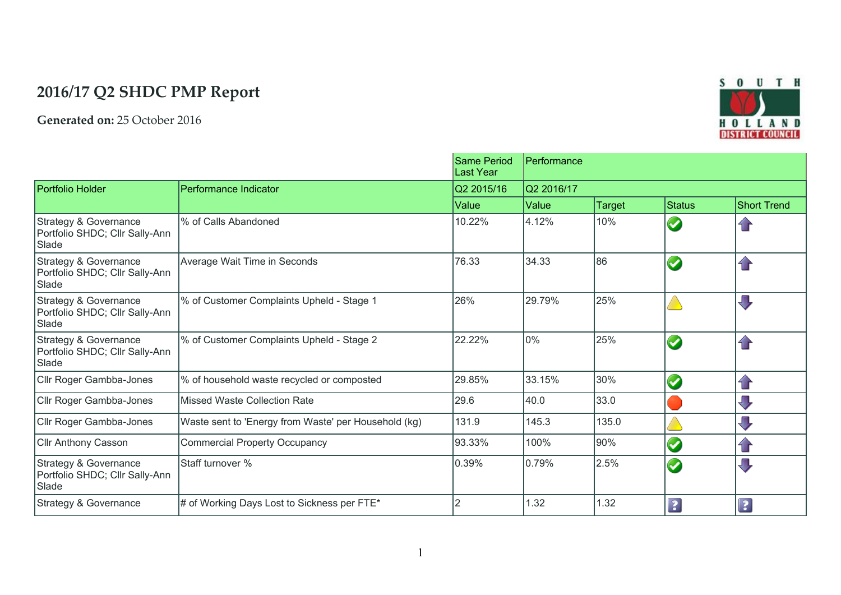## **2016/17 Q2 SHDC PMP Report**

**Generated on:** 25 October 2016



|                                                                  |                                                      | <b>Same Period</b><br>Last Year | Performance<br>Q2 2016/17 |               |                      |                         |
|------------------------------------------------------------------|------------------------------------------------------|---------------------------------|---------------------------|---------------|----------------------|-------------------------|
| Portfolio Holder                                                 | Performance Indicator                                | Q2 2015/16                      |                           |               |                      |                         |
|                                                                  |                                                      | Value                           | Value                     | <b>Target</b> | <b>Status</b>        | <b>Short Trend</b>      |
| Strategy & Governance<br>Portfolio SHDC; Cllr Sally-Ann<br>Slade | % of Calls Abandoned                                 | 10.22%                          | 4.12%                     | 10%           | $\blacktriangledown$ | $\mathbf{r}$            |
| Strategy & Governance<br>Portfolio SHDC; Cllr Sally-Ann<br>Slade | Average Wait Time in Seconds                         | 76.33                           | 34.33                     | 86 ا          | $\bullet$            | $\bigcap$               |
| Strategy & Governance<br>Portfolio SHDC; Cllr Sally-Ann<br>Slade | % of Customer Complaints Upheld - Stage 1            | 26%                             | 29.79%                    | 25%           |                      | $\overline{\mathbb{U}}$ |
| Strategy & Governance<br>Portfolio SHDC; Cllr Sally-Ann<br>Slade | % of Customer Complaints Upheld - Stage 2            | 22.22%                          | 0%                        | 25%           | $\bullet$            | $\bigcap$               |
| Cllr Roger Gambba-Jones                                          | % of household waste recycled or composted           | 29.85%                          | 33.15%                    | 30%           | $\bullet$            | $\bigcap$               |
| Cllr Roger Gambba-Jones                                          | Missed Waste Collection Rate                         | 29.6                            | 40.0                      | 33.0          |                      | $\overline{\mathbb{U}}$ |
| Cllr Roger Gambba-Jones                                          | Waste sent to 'Energy from Waste' per Household (kg) | 131.9                           | 145.3                     | 135.0         |                      | $\sqrt{ }$              |
| <b>Cllr Anthony Casson</b>                                       | <b>Commercial Property Occupancy</b>                 | 93.33%                          | 100%                      | 90%           | $\bullet$            | $\mathbf{f}$            |
| Strategy & Governance<br>Portfolio SHDC; Cllr Sally-Ann<br>Slade | Staff turnover %                                     | 0.39%                           | 0.79%                     | 2.5%          | $\bullet$            | $\overline{\mathbb{U}}$ |
| Strategy & Governance                                            | # of Working Days Lost to Sickness per FTE*          |                                 | 1.32                      | 1.32          | $\boxed{?}$          | $\overline{\mathbf{?}}$ |